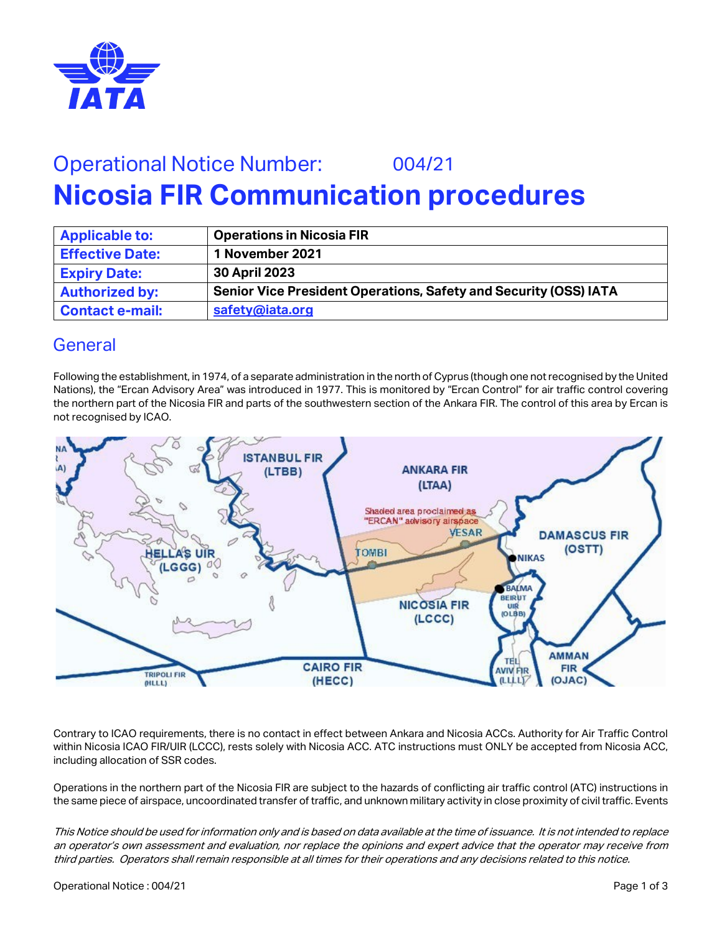

# Operational Notice Number: 004/21 **Nicosia FIR Communication procedures**

| <b>Applicable to:</b>  | <b>Operations in Nicosia FIR</b>                                        |
|------------------------|-------------------------------------------------------------------------|
| <b>Effective Date:</b> | 1 November 2021                                                         |
| <b>Expiry Date:</b>    | 30 April 2023                                                           |
| <b>Authorized by:</b>  | <b>Senior Vice President Operations, Safety and Security (OSS) IATA</b> |
| <b>Contact e-mail:</b> | safety@iata.org                                                         |

#### General

Following the establishment, in 1974, of a separate administration in the north of Cyprus (though one not recognised by the United Nations), the "Ercan Advisory Area" was introduced in 1977. This is monitored by "Ercan Control" for air traffic control covering the northern part of the Nicosia FIR and parts of the southwestern section of the Ankara FIR. The control of this area by Ercan is not recognised by ICAO.



Contrary to ICAO requirements, there is no contact in effect between Ankara and Nicosia ACCs. Authority for Air Traffic Control within Nicosia ICAO FIR/UIR (LCCC), rests solely with Nicosia ACC. ATC instructions must ONLY be accepted from Nicosia ACC, including allocation of SSR codes.

Operations in the northern part of the Nicosia FIR are subject to the hazards of conflicting air traffic control (ATC) instructions in the same piece of airspace, uncoordinated transfer of traffic, and unknown military activity in close proximity of civil traffic. Events

This Notice should be used for information only and is based on data available at the time of issuance. It is not intended to replace an operator's own assessment and evaluation, nor replace the opinions and expert advice that the operator may receive from third parties. Operators shall remain responsible at all times for their operations and any decisions related to this notice.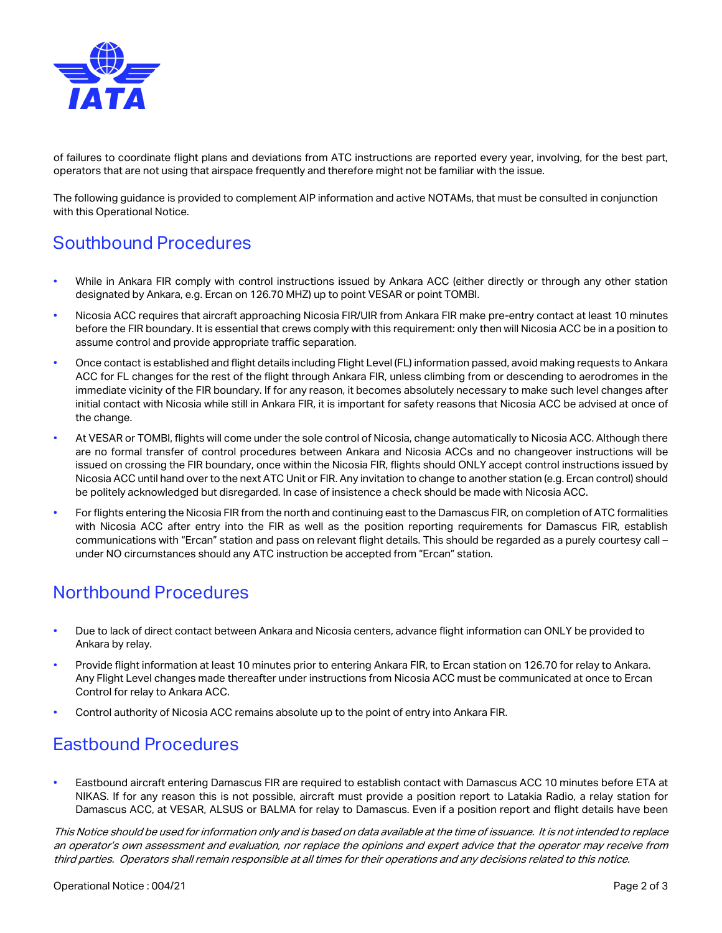

of failures to coordinate flight plans and deviations from ATC instructions are reported every year, involving, for the best part, operators that are not using that airspace frequently and therefore might not be familiar with the issue.

The following guidance is provided to complement AIP information and active NOTAMs, that must be consulted in conjunction with this Operational Notice.

### Southbound Procedures

- While in Ankara FIR comply with control instructions issued by Ankara ACC (either directly or through any other station designated by Ankara, e.g. Ercan on 126.70 MHZ) up to point VESAR or point TOMBI.
- Nicosia ACC requires that aircraft approaching Nicosia FIR/UIR from Ankara FIR make pre-entry contact at least 10 minutes before the FIR boundary. It is essential that crews comply with this requirement: only then will Nicosia ACC be in a position to assume control and provide appropriate traffic separation.
- Once contact is established and flight details including Flight Level (FL) information passed, avoid making requests to Ankara ACC for FL changes for the rest of the flight through Ankara FIR, unless climbing from or descending to aerodromes in the immediate vicinity of the FIR boundary. If for any reason, it becomes absolutely necessary to make such level changes after initial contact with Nicosia while still in Ankara FIR, it is important for safety reasons that Nicosia ACC be advised at once of the change.
- At VESAR or TOMBI, flights will come under the sole control of Nicosia, change automatically to Nicosia ACC. Although there are no formal transfer of control procedures between Ankara and Nicosia ACCs and no changeover instructions will be issued on crossing the FIR boundary, once within the Nicosia FIR, flights should ONLY accept control instructions issued by Nicosia ACC until hand over to the next ATC Unit or FIR. Any invitation to change to another station (e.g. Ercan control) should be politely acknowledged but disregarded. In case of insistence a check should be made with Nicosia ACC.
- For flights entering the Nicosia FIR from the north and continuing east to the Damascus FIR, on completion of ATC formalities with Nicosia ACC after entry into the FIR as well as the position reporting requirements for Damascus FIR, establish communications with "Ercan" station and pass on relevant flight details. This should be regarded as a purely courtesy call – under NO circumstances should any ATC instruction be accepted from "Ercan" station.

## Northbound Procedures

- Due to lack of direct contact between Ankara and Nicosia centers, advance flight information can ONLY be provided to Ankara by relay.
- Provide flight information at least 10 minutes prior to entering Ankara FIR, to Ercan station on 126.70 for relay to Ankara. Any Flight Level changes made thereafter under instructions from Nicosia ACC must be communicated at once to Ercan Control for relay to Ankara ACC.
- Control authority of Nicosia ACC remains absolute up to the point of entry into Ankara FIR.

#### Eastbound Procedures

• Eastbound aircraft entering Damascus FIR are required to establish contact with Damascus ACC 10 minutes before ETA at NIKAS. If for any reason this is not possible, aircraft must provide a position report to Latakia Radio, a relay station for Damascus ACC, at VESAR, ALSUS or BALMA for relay to Damascus. Even if a position report and flight details have been

This Notice should be used for information only and is based on data available at the time of issuance. It is not intended to replace an operator's own assessment and evaluation, nor replace the opinions and expert advice that the operator may receive from third parties. Operators shall remain responsible at all times for their operations and any decisions related to this notice.